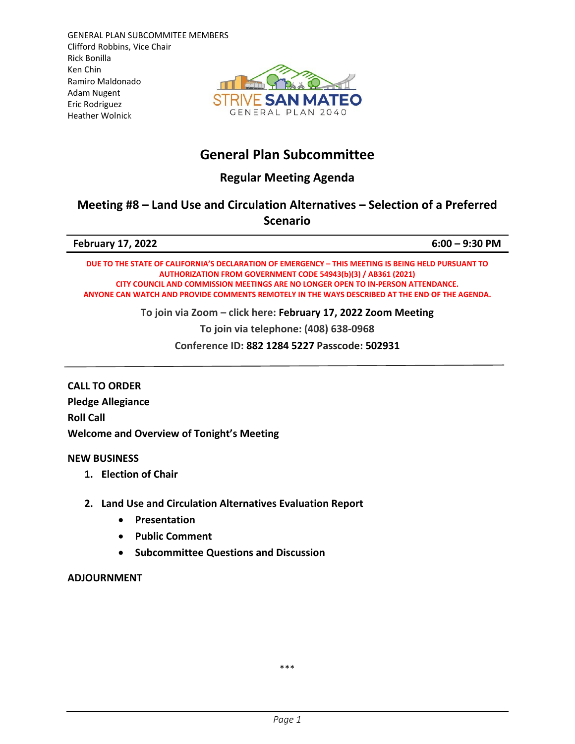GENERAL PLAN SUBCOMMITEE MEMBERS Clifford Robbins, Vice Chair Rick Bonilla Ken Chin Ramiro Maldonado Adam Nugent Eric Rodriguez Heather Wolnick



# **General Plan Subcommittee**

## **Regular Meeting Agenda**

### **Meeting #8 – Land Use and Circulation Alternatives – Selection of a Preferred Scenario**

| <b>February 17, 2022</b> | $6:00 - 9:30$ PM |
|--------------------------|------------------|

**DUE TO THE STATE OF CALIFORNIA'S DECLARATION OF EMERGENCY – THIS MEETING IS BEING HELD PURSUANT TO AUTHORIZATION FROM GOVERNMENT CODE 54943(b)(3) / AB361 (2021) CITY COUNCIL AND COMMISSION MEETINGS ARE NO LONGER OPEN TO IN-PERSON ATTENDANCE. ANYONE CAN WATCH AND PROVIDE COMMENTS REMOTELY IN THE WAYS DESCRIBED AT THE END OF THE AGENDA.**

**To join via Zoom – click here: February 17, 2022 [Zoom Meeting](https://us02web.zoom.us/j/88212845227?pwd=aElxYnI0TFErOXY4OHMzSzdhZHBIZz09)**

**To join via telephone: (408) 638-0968**

**Conference ID: 882 1284 5227 Passcode: 502931**

**CALL TO ORDER Pledge Allegiance Roll Call Welcome and Overview of Tonight's Meeting**

#### **NEW BUSINESS**

- **1. Election of Chair**
- **2. Land Use and Circulation Alternatives Evaluation Report**
	- **Presentation**
	- **Public Comment**
	- **Subcommittee Questions and Discussion**

#### **ADJOURNMENT**

\*\*\*